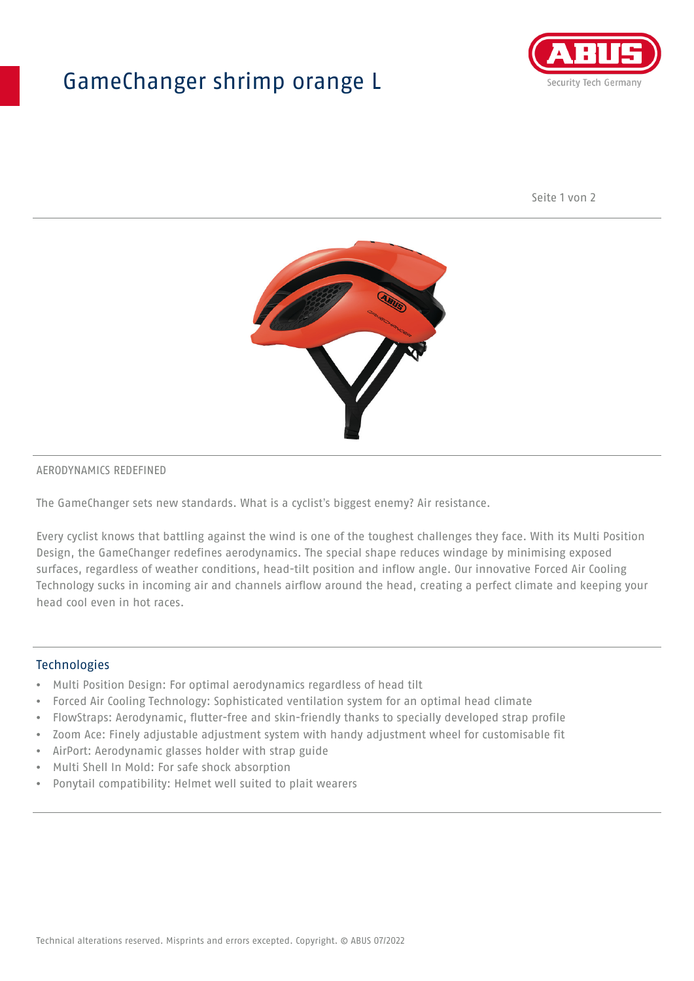## GameChanger shrimp orange L



Seite 1 von 2



#### AERODYNAMICS REDEFINED

The GameChanger sets new standards. What is a cyclist's biggest enemy? Air resistance.

Every cyclist knows that battling against the wind is one of the toughest challenges they face. With its Multi Position Design, the GameChanger redefines aerodynamics. The special shape reduces windage by minimising exposed surfaces, regardless of weather conditions, head-tilt position and inflow angle. Our innovative Forced Air Cooling Technology sucks in incoming air and channels airflow around the head, creating a perfect climate and keeping your head cool even in hot races.

#### Technologies

- Multi Position Design: For optimal aerodynamics regardless of head tilt
- Forced Air Cooling Technology: Sophisticated ventilation system for an optimal head climate
- FlowStraps: Aerodynamic, flutter-free and skin-friendly thanks to specially developed strap profile
- Zoom Ace: Finely adjustable adjustment system with handy adjustment wheel for customisable fit
- AirPort: Aerodynamic glasses holder with strap guide
- Multi Shell In Mold: For safe shock absorption
- Ponytail compatibility: Helmet well suited to plait wearers